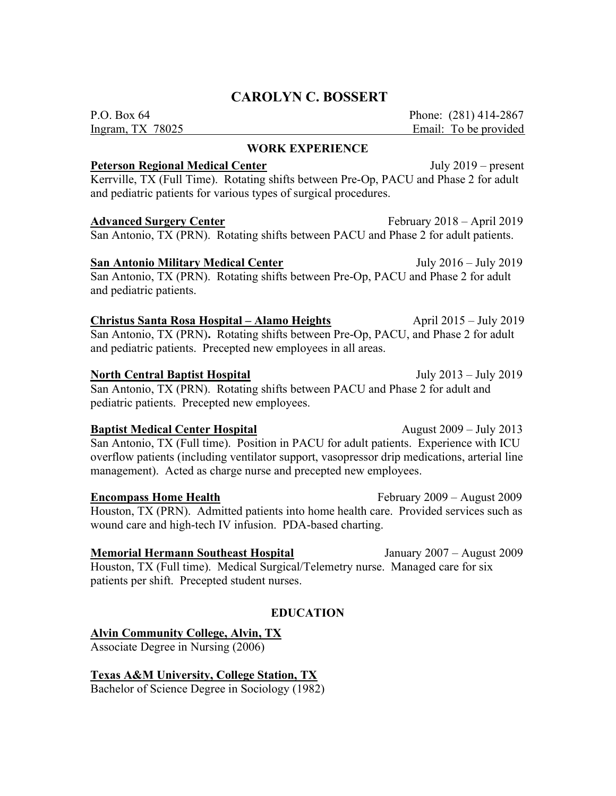# CAROLYN C. BOSSERT

P.O. Box 64 Phone: (281) 414-2867 Ingram, TX 78025 Email: To be provided

## WORK EXPERIENCE

#### Peterson Regional Medical Center July 2019 – present

Kerrville, TX (Full Time). Rotating shifts between Pre-Op, PACU and Phase 2 for adult and pediatric patients for various types of surgical procedures.

#### Advanced Surgery Center February 2018 – April 2019

San Antonio, TX (PRN). Rotating shifts between PACU and Phase 2 for adult patients.

## San Antonio Military Medical Center **Figure 2016** – July 2016 – July 2019

San Antonio, TX (PRN). Rotating shifts between Pre-Op, PACU and Phase 2 for adult and pediatric patients.

## Christus Santa Rosa Hospital – Alamo Heights April 2015 – July 2019

San Antonio, TX (PRN). Rotating shifts between Pre-Op, PACU, and Phase 2 for adult and pediatric patients. Precepted new employees in all areas.

#### North Central Baptist Hospital **Iuly 2013** July 2013 – July 2019

San Antonio, TX (PRN). Rotating shifts between PACU and Phase 2 for adult and pediatric patients. Precepted new employees.

#### **Baptist Medical Center Hospital** August 2009 – July 2013

San Antonio, TX (Full time). Position in PACU for adult patients. Experience with ICU overflow patients (including ventilator support, vasopressor drip medications, arterial line management). Acted as charge nurse and precepted new employees.

**Encompass Home Health** February 2009 – August 2009 Houston, TX (PRN). Admitted patients into home health care. Provided services such as wound care and high-tech IV infusion. PDA-based charting.

Memorial Hermann Southeast Hospital January 2007 – August 2009 Houston, TX (Full time). Medical Surgical/Telemetry nurse. Managed care for six patients per shift. Precepted student nurses.

## EDUCATION

## Alvin Community College, Alvin, TX

Associate Degree in Nursing (2006)

Texas A&M University, College Station, TX

Bachelor of Science Degree in Sociology (1982)